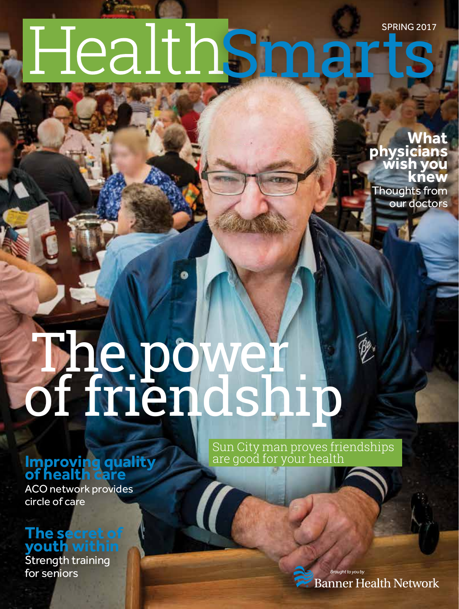# SPRING 2017 HealthSmarts

**What physicians wish you knew** Thoughts from our doctors

# The power! of friendship

#### **Improving quality Integral are good for your health of health care**

ACO network provides circle of care

#### **The secret of youth within**

Strength training for seniors

Sun City man proves friendships

*Brought to you by* **Banner Health Network**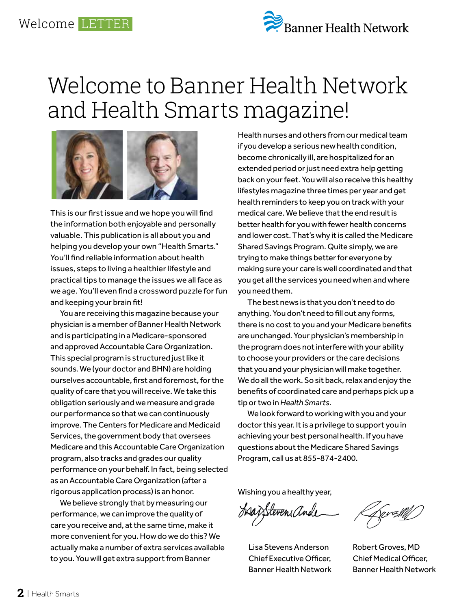## Welcome to Banner Health Network and Health Smarts magazine!



This is our first issue and we hope you will find the information both enjoyable and personally valuable. This publication is all about you and helping you develop your own "Health Smarts." You'll find reliable information about health issues, steps to living a healthier lifestyle and practical tips to manage the issues we all face as we age. You'll even find a crossword puzzle for fun and keeping your brain fit!

You are receiving this magazine because your physician is a member of Banner Health Network and is participating in a Medicare-sponsored and approved Accountable Care Organization. This special program is structured just like it sounds. We (your doctor and BHN) are holding ourselves accountable, first and foremost, for the quality of care that you will receive. We take this obligation seriously and we measure and grade our performance so that we can continuously improve. The Centers for Medicare and Medicaid Services, the government body that oversees Medicare and this Accountable Care Organization program, also tracks and grades our quality performance on your behalf. In fact, being selected as an Accountable Care Organization (after a rigorous application process) is an honor.

We believe strongly that by measuring our performance, we can improve the quality of care you receive and, at the same time, make it more convenient for you. How do we do this? We actually make a number of extra services available to you. You will get extra support from Banner

Health nurses and others from our medical team if you develop a serious new health condition, become chronically ill, are hospitalized for an extended period or just need extra help getting back on your feet. You will also receive this healthy lifestyles magazine three times per year and get health reminders to keep you on track with your medical care. We believe that the end result is better health for you with fewer health concerns and lower cost. That's why it is called the Medicare Shared Savings Program. Quite simply, we are trying to make things better for everyone by making sure your care is well coordinated and that you get all the services you need when and where you need them.

The best news is that you don't need to do anything. You don't need to fill out any forms, there is no cost to you and your Medicare benefits are unchanged. Your physician's membership in the program does not interfere with your ability to choose your providers or the care decisions that you and your physician will make together. We do all the work. So sit back, relax and enjoy the benefits of coordinated care and perhaps pick up a tip or two in *Health Smarts*.

We look forward to working with you and your doctor this year. It is a privilege to support you in achieving your best personal health. If you have questions about the Medicare Shared Savings Program, call us at 855-874-2400.

Wishing you a healthy year,

Ssazstevensande

Lisa Stevens Anderson Chief Executive Officer, Banner Health Network

DarsM//

Robert Groves, MD Chief Medical Officer, Banner Health Network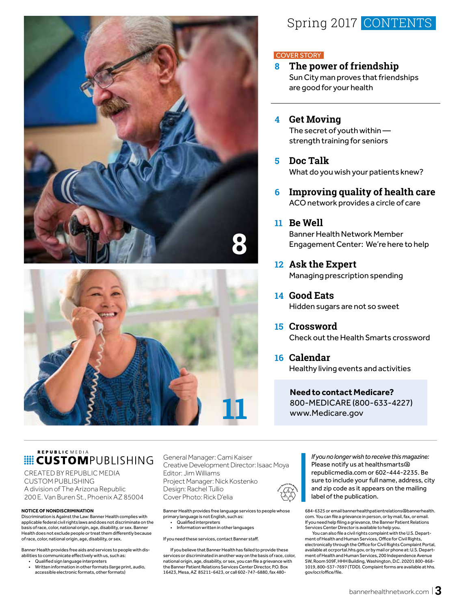



#### Spring 2017 CONTENTS

#### COVER STORY

**8 The power of friendship** Sun City man proves that friendships are good for your health

#### **4 Get Moving**

The secret of youth within strength training for seniors

- **5 Doc Talk** What do you wish your patients knew?
- **6 Improving quality of health care** ACO network provides a circle of care

#### **11 Be Well**

Banner Health Network Member Engagement Center: We're here to help

- **12 Ask the Expert**  Managing prescription spending
- **14 Good Eats** Hidden sugars are not so sweet
- **15 Crossword** Check out the Health Smarts crossword
- **16 Calendar** Healthy living events and activities

**Need to contact Medicare?** 800-MEDICARE (800-633-4227) www.Medicare.gov

#### REPUBLIC MEDIA **E CUSTOM**PUBLISHING

CREATED BY REPUBLIC MEDIA CUSTOM PUBLISHING A division of The Arizona Republic 200 E. Van Buren St., Phoenix AZ 85004

#### **NOTICE OF NONDISCRIMINATION**

Discrimination is Against the Law: Banner Health complies with applicable federal civil rights laws and does not discriminate on the basis of race, color, national origin, age, disability, or sex. Banner Health does not exclude people or treat them differently because of race, color, national origin, age, disability, or sex.

Banner Health provides free aids and services to people with disabilities to communicate effectively with us, such as:

- Qualified sign language interpreters
- Written information in other formats (large print, audio, accessible electronic formats, other formats)

General Manager: Cami Kaiser Creative Development Director: Isaac Moya Editor: Jim Williams Project Manager: Nick Kostenko Design: Rachel Tullio Cover Photo: Rick D'elia

Banner Health provides free language services to people whose primary language is not English, such as: • Qualified interpreters

• Information written in other languages

If you need these services, contact Banner staff.

If you believe that Banner Health has failed to provide these services or discriminated in another way on the basis of race, color, national origin, age, disability, or sex, you can file a grievance with the Banner Patient Relations Services Center Director, P.O. Box 16423, Mesa, AZ 85211-6423, or call 602-747-6880, fax 480-

*If you no longer wish to receive this magazine:*  Please notify us at healthsmarts@ republicmedia.com or 602-444-2235. Be sure to include your full name, address, city and zip code as it appears on the mailing label of the publication.

684-6325 or email bannerhealthpatientrelations@bannerhealth. com. You can file a grievance in person, or by mail, fax, or email. If you need help filing a grievance, the Banner Patient Relations Services Center Director is available to help you.

You can also file a civil rights complaint with the U.S. Department of Health and Human Services, Office for Civil Rights, electronically through the Office for Civil Rights Complaint Portal, available at ocrportal.hhs.gov, or by mail or phone at: U.S. Department of Health and Human Services, 200 Independence Avenue SW, Room 509F, HHH Building, Washington, D.C. 20201 800-868- 1019, 800-537-7697 (TDD). Complaint forms are available at hhs. gov/ocr/office/file.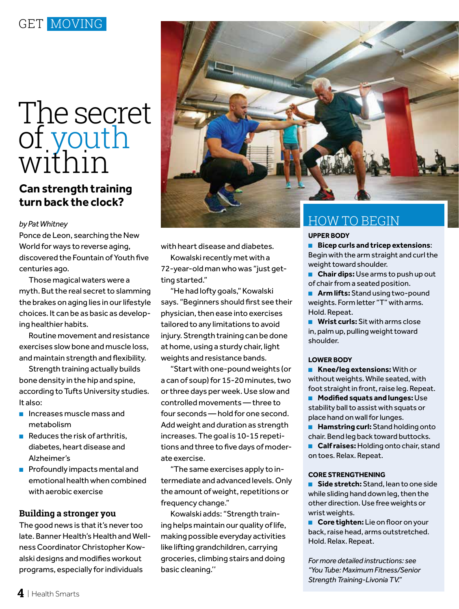# The secret of youth within

#### **Can strength training turn back the clock?**

*by Pat Whitney*

Ponce de Leon, searching the New World for ways to reverse aging, discovered the Fountain of Youth five centuries ago.

Those magical waters were a myth. But the real secret to slamming the brakes on aging lies in our lifestyle choices. It can be as basic as developing healthier habits.

Routine movement and resistance exercises slow bone and muscle loss, and maintain strength and flexibility.

Strength training actually builds bone density in the hip and spine, according to Tufts University studies. It also:

- Increases muscle mass and metabolism
- Reduces the risk of arthritis, diabetes, heart disease and Alzheimer's
- Profoundly impacts mental and emotional health when combined with aerobic exercise

#### **Building a stronger you**

The good news is that it's never too late. Banner Health's Health and Wellness Coordinator Christopher Kowalski designs and modifies workout programs, especially for individuals



with heart disease and diabetes.

Kowalski recently met with a 72-year-old man who was "just getting started."

"He had lofty goals," Kowalski says. "Beginners should first see their physician, then ease into exercises tailored to any limitations to avoid injury. Strength training can be done at home, using a sturdy chair, light weights and resistance bands.

"Start with one-pound weights (or a can of soup) for 15-20 minutes, two or three days per week. Use slow and controlled movements — three to four seconds — hold for one second. Add weight and duration as strength increases. The goal is 10-15 repetitions and three to five days of moderate exercise.

"The same exercises apply to intermediate and advanced levels. Only the amount of weight, repetitions or frequency change."

Kowalski adds: "Strength training helps maintain our quality of life, making possible everyday activities like lifting grandchildren, carrying groceries, climbing stairs and doing basic cleaning.''

#### **UPPER BODY**

- **Bicep curls and tricep extensions**: Begin with the arm straight and curl the weight toward shoulder.
- **Chair dips:** Use arms to push up out of chair from a seated position.
- **Arm lifts:** Stand using two-pound weights. Form letter "T" with arms. Hold. Repeat.
- **Wrist curls:** Sit with arms close in, palm up, pulling weight toward shoulder.

#### **LOWER BODY**

- **Knee/leg extensions:** With or without weights. While seated, with foot straight in front, raise leg. Repeat.
- **Modified squats and lunges:** Use stability ball to assist with squats or place hand on wall for lunges.
- **Hamstring curl:** Stand holding onto chair. Bend leg back toward buttocks.
- **Calf raises:** Holding onto chair, stand on toes. Relax. Repeat.

#### **CORE STRENGTHENING**

- **Side stretch:** Stand, lean to one side while sliding hand down leg, then the other direction. Use free weights or wrist weights.
- **Core tighten:** Lie on floor on your back, raise head, arms outstretched. Hold. Relax. Repeat.

*For more detailed instructions: see "You Tube: Maximum Fitness/Senior Strength Training-Livonia TV."*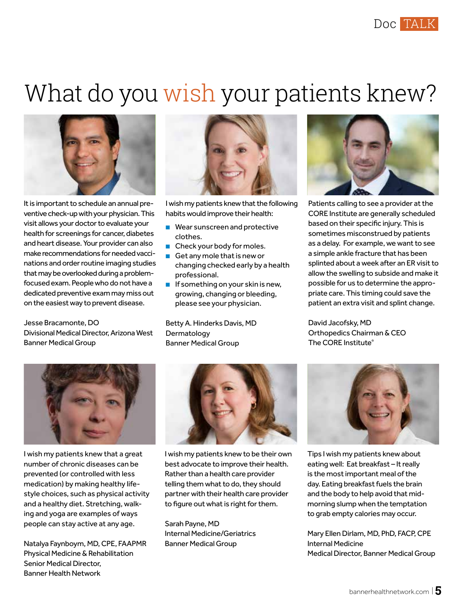## What do you wish your patients knew?



It is important to schedule an annual preventive check-up with your physician. This visit allows your doctor to evaluate your health for screenings for cancer, diabetes and heart disease. Your provider can also make recommendations for needed vaccinations and order routine imaging studies that may be overlooked during a problemfocused exam. People who do not have a dedicated preventive exam may miss out on the easiest way to prevent disease.

Jesse Bracamonte, DO Divisional Medical Director, Arizona West Banner Medical Group



I wish my patients knew that the following habits would improve their health:

- Wear sunscreen and protective clothes.
- Check your body for moles.
- Get any mole that is new or changing checked early by a health professional.
- If something on your skin is new, growing, changing or bleeding, please see your physician.

Betty A. Hinderks Davis, MD Dermatology Banner Medical Group



Patients calling to see a provider at the CORE Institute are generally scheduled based on their specific injury. This is sometimes misconstrued by patients as a delay. For example, we want to see a simple ankle fracture that has been splinted about a week after an ER visit to allow the swelling to subside and make it possible for us to determine the appropriate care. This timing could save the patient an extra visit and splint change.

David Jacofsky, MD Orthopedics Chairman & CEO The CORE Institute®



I wish my patients knew that a great number of chronic diseases can be prevented (or controlled with less medication) by making healthy lifestyle choices, such as physical activity and a healthy diet. Stretching, walking and yoga are examples of ways people can stay active at any age.

Natalya Faynboym, MD, CPE, FAAPMR Physical Medicine & Rehabilitation Senior Medical Director, Banner Health Network



I wish my patients knew to be their own best advocate to improve their health. Rather than a health care provider telling them what to do, they should partner with their health care provider to figure out what is right for them.

Sarah Payne, MD Internal Medicine/Geriatrics Banner Medical Group



Tips I wish my patients knew about eating well: Eat breakfast – It really is the most important meal of the day. Eating breakfast fuels the brain and the body to help avoid that midmorning slump when the temptation to grab empty calories may occur.

Mary Ellen Dirlam, MD, PhD, FACP, CPE Internal Medicine Medical Director, Banner Medical Group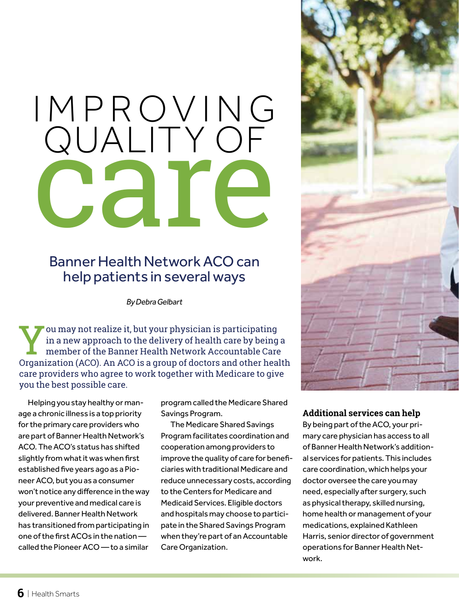# I M P R O V I N G QUALITY OF **Care**

#### Banner Health Network ACO can help patients in several ways

*By Debra Gelbart*

You may not realize it, but your physician is participating<br>in a new approach to the delivery of health care by being<br>member of the Banner Health Network Accountable Care<br>Organization (ACO), An ACO is a group of doctors an in a new approach to the delivery of health care by being a member of the Banner Health Network Accountable Care Organization (ACO). An ACO is a group of doctors and other health care providers who agree to work together with Medicare to give you the best possible care.

Helping you stay healthy or manage a chronic illness is a top priority for the primary care providers who are part of Banner Health Network's ACO. The ACO's status has shifted slightly from what it was when first established five years ago as a Pioneer ACO, but you as a consumer won't notice any difference in the way your preventive and medical care is delivered. Banner Health Network has transitioned from participating in one of the first ACOs in the nation called the Pioneer ACO — to a similar

program called the Medicare Shared Savings Program.

The Medicare Shared Savings Program facilitates coordination and cooperation among providers to improve the quality of care for beneficiaries with traditional Medicare and reduce unnecessary costs, according to the Centers for Medicare and Medicaid Services. Eligible doctors and hospitals may choose to participate in the Shared Savings Program when they're part of an Accountable Care Organization.



#### **Additional services can help**

By being part of the ACO, your primary care physician has access to all of Banner Health Network's additional services for patients. This includes care coordination, which helps your doctor oversee the care you may need, especially after surgery, such as physical therapy, skilled nursing, home health or management of your medications, explained Kathleen Harris, senior director of government operations for Banner Health Network.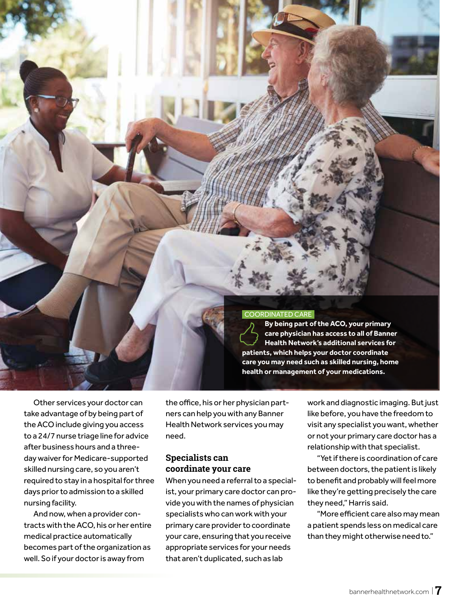

Other services your doctor can take advantage of by being part of the ACO include giving you access to a 24/7 nurse triage line for advice after business hours and a threeday waiver for Medicare-supported skilled nursing care, so you aren't required to stay in a hospital for three days prior to admission to a skilled nursing facility.

And now, when a provider contracts with the ACO, his or her entire medical practice automatically becomes part of the organization as well. So if your doctor is away from

the office, his or her physician partners can help you with any Banner Health Network services you may need.

#### **Specialists can coordinate your care**

When you need a referral to a specialist, your primary care doctor can provide you with the names of physician specialists who can work with your primary care provider to coordinate your care, ensuring that you receive appropriate services for your needs that aren't duplicated, such as lab

work and diagnostic imaging. But just like before, you have the freedom to visit any specialist you want, whether or not your primary care doctor has a relationship with that specialist.

"Yet if there is coordination of care between doctors, the patient is likely to benefit and probably will feel more like they're getting precisely the care they need," Harris said.

"More efficient care also may mean a patient spends less on medical care than they might otherwise need to."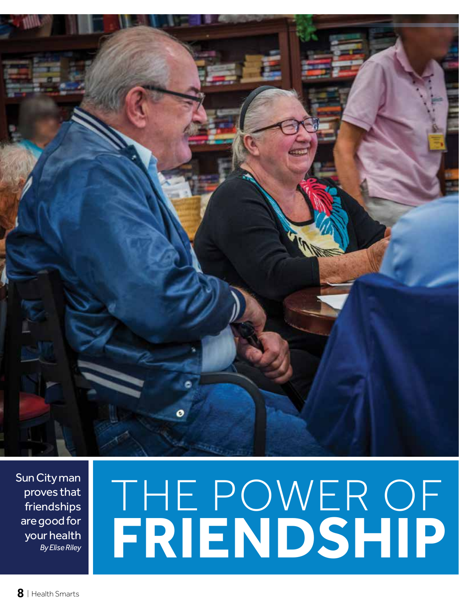

Sun City man proves that friendships are good for your health *By Elise Riley*

# THE POWER OF **FRIENDSHIP**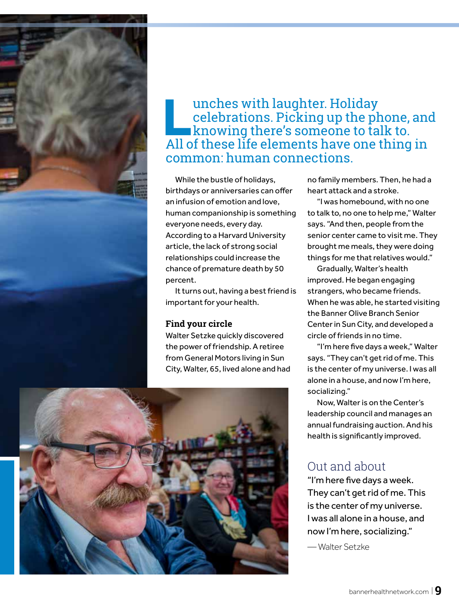

#### **Lunches with laughter. Holiday<br>celebrations. Picking up the ph<br>knowing there's someone to tai<br>All of these life elements have one t** celebrations. Picking up the phone, and knowing there's someone to talk to. All of these life elements have one thing in common: human connections.

While the bustle of holidays, birthdays or anniversaries can offer an infusion of emotion and love, human companionship is something everyone needs, every day. According to a Harvard University article, the lack of strong social relationships could increase the chance of premature death by 50 percent.

It turns out, having a best friend is important for your health.

#### **Find your circle**

Walter Setzke quickly discovered the power of friendship. A retiree from General Motors living in Sun City, Walter, 65, lived alone and had



no family members. Then, he had a heart attack and a stroke.

"I was homebound, with no one to talk to, no one to help me," Walter says. "And then, people from the senior center came to visit me. They brought me meals, they were doing things for me that relatives would."

Gradually, Walter's health improved. He began engaging strangers, who became friends. When he was able, he started visiting the Banner Olive Branch Senior Center in Sun City, and developed a circle of friends in no time.

"I'm here five days a week," Walter says. "They can't get rid of me. This is the center of my universe. I was all alone in a house, and now I'm here, socializing."

Now, Walter is on the Center's leadership council and manages an annual fundraising auction. And his health is significantly improved.

#### Out and about

"I'm here five days a week. They can't get rid of me. This is the center of my universe. I was all alone in a house, and now I'm here, socializing."

— Walter Setzke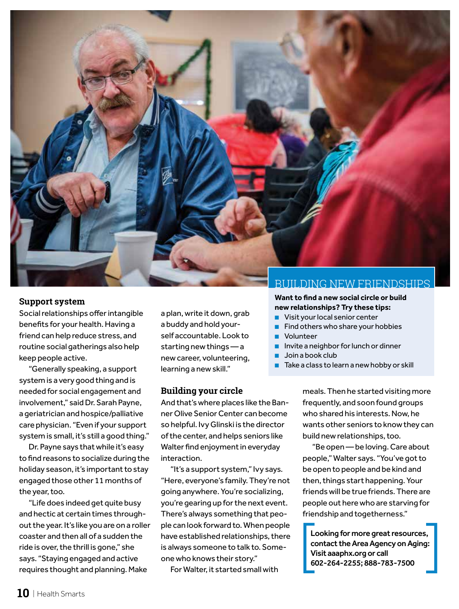

#### **Support system**

Social relationships offer intangible benefits for your health. Having a friend can help reduce stress, and routine social gatherings also help keep people active.

"Generally speaking, a support system is a very good thing and is needed for social engagement and involvement," said Dr. Sarah Payne, a geriatrician and hospice/palliative care physician. "Even if your support system is small, it's still a good thing."

Dr. Payne says that while it's easy to find reasons to socialize during the holiday season, it's important to stay engaged those other 11 months of the year, too.

"Life does indeed get quite busy and hectic at certain times throughout the year. It's like you are on a roller coaster and then all of a sudden the ride is over, the thrill is gone," she says. "Staying engaged and active requires thought and planning. Make

a plan, write it down, grab a buddy and hold yourself accountable. Look to starting new things — a new career, volunteering, learning a new skill."

#### **Building your circle**

And that's where places like the Banner Olive Senior Center can become so helpful. Ivy Glinski is the director of the center, and helps seniors like Walter find enjoyment in everyday interaction.

"It's a support system," Ivy says. "Here, everyone's family. They're not going anywhere. You're socializing, you're gearing up for the next event. There's always something that people can look forward to. When people have established relationships, there is always someone to talk to. Someone who knows their story."

For Walter, it started small with

#### BUILDING NEW FRIENDSHIPS

**Want to find a new social circle or build new relationships? Try these tips:**

- Visit your local senior center
- Find others who share your hobbies
- Volunteer
- Invite a neighbor for lunch or dinner
- Join a book club
- Take a class to learn a new hobby or skill

meals. Then he started visiting more frequently, and soon found groups who shared his interests. Now, he wants other seniors to know they can build new relationships, too.

"Be open — be loving. Care about people," Walter says. "You've got to be open to people and be kind and then, things start happening. Your friends will be true friends. There are people out here who are starving for friendship and togetherness."

Looking for more great resources, contact the Area Agency on Aging: Visit aaaphx.org or call 602-264-2255; 888-783-7500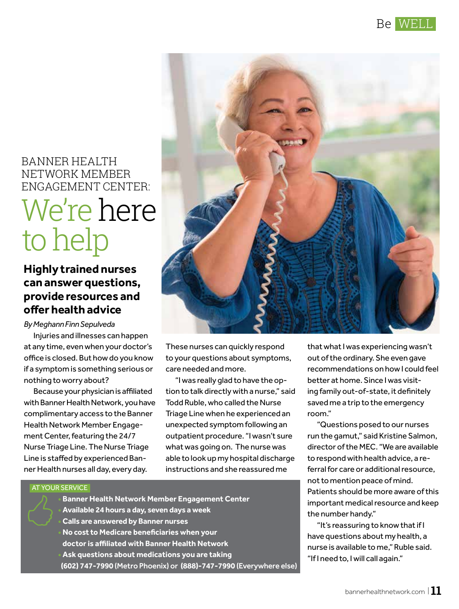

#### BANNER HEALTH NETWORK MEMBER ENGAGEMENT CENTER:

## We're here to help

#### **Highly trained nurses can answer questions, provide resources and offer health advice**

*By Meghann Finn Sepulveda*

Injuries and illnesses can happen at any time, even when your doctor's office is closed. But how do you know if a symptom is something serious or nothing to worry about?

Because your physician is affiliated with Banner Health Network, you have complimentary access to the Banner Health Network Member Engagement Center, featuring the 24/7 Nurse Triage Line. The Nurse Triage Line is staffed by experienced Banner Health nurses all day, every day.



These nurses can quickly respond to your questions about symptoms, care needed and more.

"I was really glad to have the option to talk directly with a nurse," said Todd Ruble, who called the Nurse Triage Line when he experienced an unexpected symptom following an outpatient procedure. "I wasn't sure what was going on. The nurse was able to look up my hospital discharge instructions and she reassured me

that what I was experiencing wasn't out of the ordinary. She even gave recommendations on how I could feel better at home. Since I was visiting family out-of-state, it definitely saved me a trip to the emergency room."

"Questions posed to our nurses run the gamut," said Kristine Salmon, director of the MEC. "We are available to respond with health advice, a referral for care or additional resource, not to mention peace of mind. Patients should be more aware of this important medical resource and keep the number handy."

"It's reassuring to know that if I have questions about my health, a nurse is available to me," Ruble said. "If I need to, I will call again."

#### AT YOUR SERVICE

**• Banner Health Network Member Engagement Center • Available 24 hours a day, seven days a week • Calls are answered by Banner nurses • No cost to Medicare beneficiaries when your doctor is affiliated with Banner Health Network • Ask questions about medications you are taking (602) 747-7990** (Metro Phoenix) or **(888)-747-7990** (Everywhere else)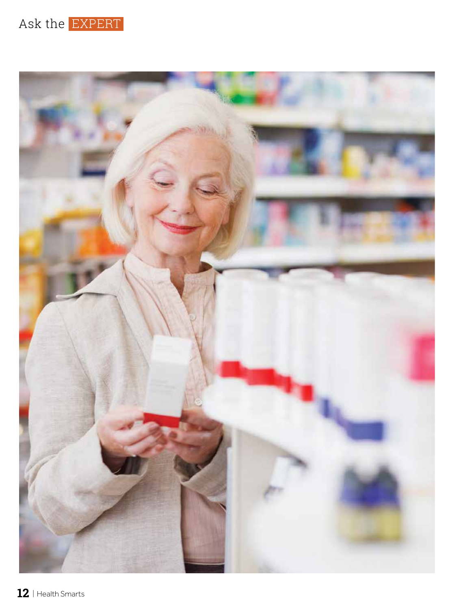

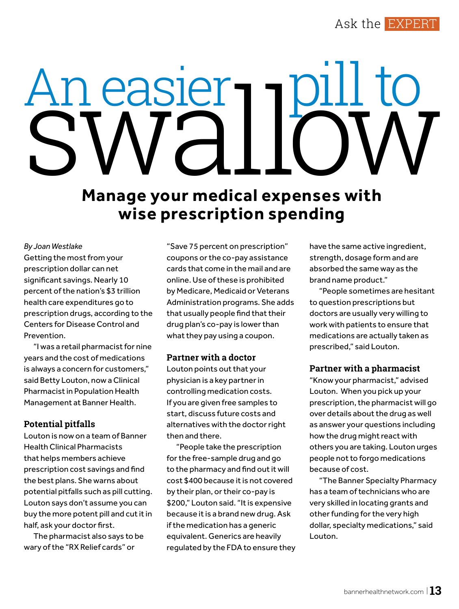Ask the EXPERT

# An easier<br>SWallow

### **Manage your medical expenses with wise prescription spending**

*By Joan Westlake*

Getting the most from your prescription dollar can net significant savings. Nearly 10 percent of the nation's \$3 trillion health care expenditures go to prescription drugs, according to the Centers for Disease Control and Prevention.

"I was a retail pharmacist for nine years and the cost of medications is always a concern for customers," said Betty Louton, now a Clinical Pharmacist in Population Health Management at Banner Health.

#### **Potential pitfalls**

Louton is now on a team of Banner Health Clinical Pharmacists that helps members achieve prescription cost savings and find the best plans. She warns about potential pitfalls such as pill cutting. Louton says don't assume you can buy the more potent pill and cut it in half, ask your doctor first.

The pharmacist also says to be wary of the "RX Relief cards" or

"Save 75 percent on prescription" coupons or the co-pay assistance cards that come in the mail and are online. Use of these is prohibited by Medicare, Medicaid or Veterans Administration programs. She adds that usually people find that their drug plan's co-pay is lower than what they pay using a coupon.

#### **Partner with a doctor**

Louton points out that your physician is a key partner in controlling medication costs. If you are given free samples to start, discuss future costs and alternatives with the doctor right then and there.

"People take the prescription for the free-sample drug and go to the pharmacy and find out it will cost \$400 because it is not covered by their plan, or their co-pay is \$200," Louton said. "It is expensive because it is a brand new drug. Ask if the medication has a generic equivalent. Generics are heavily regulated by the FDA to ensure they have the same active ingredient, strength, dosage form and are absorbed the same way as the brand name product."

"People sometimes are hesitant to question prescriptions but doctors are usually very willing to work with patients to ensure that medications are actually taken as prescribed," said Louton.

#### **Partner with a pharmacist**

"Know your pharmacist," advised Louton. When you pick up your prescription, the pharmacist will go over details about the drug as well as answer your questions including how the drug might react with others you are taking. Louton urges people not to forgo medications because of cost.

"The Banner Specialty Pharmacy has a team of technicians who are very skilled in locating grants and other funding for the very high dollar, specialty medications," said Louton.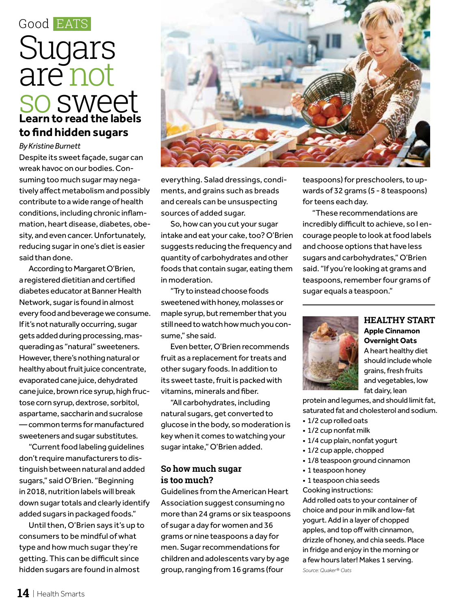## Good EATS **Learn to read the labels to find hidden sugars** Sugars are not so sweet

#### *By Kristine Burnett*

Despite its sweet façade, sugar can wreak havoc on our bodies. Consuming too much sugar may negatively affect metabolism and possibly contribute to a wide range of health conditions, including chronic inflammation, heart disease, diabetes, obesity, and even cancer. Unfortunately, reducing sugar in one's diet is easier said than done.

According to Margaret O'Brien, a registered dietitian and certified diabetes educator at Banner Health Network, sugar is found in almost every food and beverage we consume. If it's not naturally occurring, sugar gets added during processing, masquerading as "natural" sweeteners. However, there's nothing natural or healthy about fruit juice concentrate, evaporated cane juice, dehydrated cane juice, brown rice syrup, high fructose corn syrup, dextrose, sorbitol, aspartame, saccharin and sucralose — common terms for manufactured sweeteners and sugar substitutes.

"Current food labeling guidelines don't require manufacturers to distinguish between natural and added sugars," said O'Brien. "Beginning in 2018, nutrition labels will break down sugar totals and clearly identify added sugars in packaged foods."

Until then, O'Brien says it's up to consumers to be mindful of what type and how much sugar they're getting. This can be difficult since hidden sugars are found in almost



everything. Salad dressings, condiments, and grains such as breads and cereals can be unsuspecting sources of added sugar.

So, how can you cut your sugar intake and eat your cake, too? O'Brien suggests reducing the frequency and quantity of carbohydrates and other foods that contain sugar, eating them in moderation.

"Try to instead choose foods sweetened with honey, molasses or maple syrup, but remember that you still need to watch how much you consume," she said.

Even better, O'Brien recommends fruit as a replacement for treats and other sugary foods. In addition to its sweet taste, fruit is packed with vitamins, minerals and fiber.

"All carbohydrates, including natural sugars, get converted to glucose in the body, so moderation is key when it comes to watching your sugar intake," O'Brien added.

#### **So how much sugar is too much?**

Guidelines from the American Heart Association suggest consuming no more than 24 grams or six teaspoons of sugar a day for women and 36 grams or nine teaspoons a day for men. Sugar recommendations for children and adolescents vary by age group, ranging from 16 grams (four

teaspoons) for preschoolers, to upwards of 32 grams (5 - 8 teaspoons) for teens each day.

"These recommendations are incredibly difficult to achieve, so I encourage people to look at food labels and choose options that have less sugars and carbohydrates," O'Brien said. "If you're looking at grams and teaspoons, remember four grams of sugar equals a teaspoon."



#### **HEALTHY START Apple Cinnamon Overnight Oats** A heart healthy diet

should include whole grains, fresh fruits and vegetables, low fat dairy, lean

protein and legumes, and should limit fat, saturated fat and cholesterol and sodium.

- 1/2 cup rolled oats
- 1/2 cup nonfat milk
- 1/4 cup plain, nonfat yogurt
- 1/2 cup apple, chopped
- 1/8 teaspoon ground cinnamon
- 1 teaspoon honey
- 1 teaspoon chia seeds

Cooking instructions: Add rolled oats to your container of choice and pour in milk and low-fat yogurt. Add in a layer of chopped apples, and top off with cinnamon, drizzle of honey, and chia seeds. Place in fridge and enjoy in the morning or a few hours later! Makes 1 serving.

*Source: Quaker® Oats*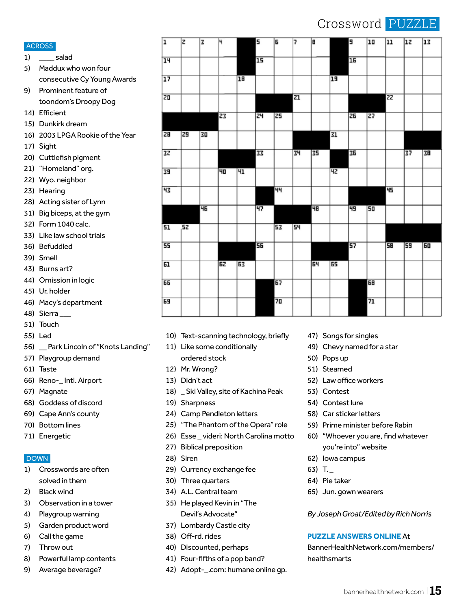#### Crossword |

 $\overline{10}$ 

 $\overline{\ln}$ 

**lg** 

|--|--|--|--|--|

 $\overline{13}$ 

 $\overline{12}$ 

- 1) salad
- 5) Maddux who won four consecutive Cy Young Awards

厅

Τz

Έ

14

Īς

ঢ়

Б

1a

- 9) Prominent feature of toondom's Droopy Dog
- 14) Efficient
- 15) Dunkirk dream
- 16) 2003 LPGA Rookie of the Year
- 17) Sight
- 20) Cuttlefish pigment
- 21) "Homeland" org.
- 22) Wyo. neighbor
- 23) Hearing
- 28) Acting sister of Lynn
- 31) Big biceps, at the gym
- 32) Form 1040 calc.
- 33) Like law school trials
- 36) Befuddled
- 39) Smell
- 43) Burns art?
- 44) Omission in logic
- 45) Ur. holder
- 46) Macy's department
- 48) Sierra
- 51) Touch
- 55) Led
- 56) \_\_ Park Lincoln of "Knots Landing"
- 57) Playgroup demand
- 61) Taste
- 66) Reno-\_ Intl. Airport
- 67) Magnate
- 68) Goddess of discord
- 69) Cape Ann's county
- 70) Bottom lines
- 71) Energetic

#### DOWN

- 1) Crosswords are often solved in them
- 2) Black wind
- 3) Observation in a tower
- 4) Playgroup warning
- 5) Garden product word
- 6) Call the game
- 7) Throw out
- 8) Powerful lamp contents
- 9) Average beverage?

| 14               |    |    |    |    | 15 |    |    |    |    | 16 |    |    |    |    |
|------------------|----|----|----|----|----|----|----|----|----|----|----|----|----|----|
| 17               |    |    |    | 18 |    |    |    |    | 19 |    |    |    |    |    |
| $\overline{z}$ o |    |    |    |    |    |    | 21 |    |    |    |    | 22 |    |    |
|                  |    |    | 23 |    | 객  | 25 |    |    |    | 26 | 27 |    |    |    |
| 28               | 29 | 30 |    |    |    |    |    |    | 31 |    |    |    |    |    |
| 32               |    |    |    |    | 33 |    | 34 | 35 |    | 36 |    |    | 37 | 38 |
| 39               |    |    | 40 | 41 |    |    |    |    | 42 |    |    |    |    |    |
| 43               |    |    |    |    |    | 44 |    |    |    |    |    | 45 |    |    |
|                  |    | 46 |    |    | 47 |    |    | 48 |    | 49 | 50 |    |    |    |
| 51               | 52 |    |    |    |    | 53 | 54 |    |    |    |    |    |    |    |
| 55               |    |    |    |    | 56 |    |    |    |    | 57 |    | 58 | 59 | 60 |
| 61               |    |    | 62 | 63 |    |    |    | 64 | 65 |    |    |    |    |    |
| 66               |    |    |    |    |    | 67 |    |    |    |    | 68 |    |    |    |
| 69               |    |    |    |    |    | 70 |    |    |    |    | 71 |    |    |    |

- 10) Text-scanning technology, briefly
- 11) Like some conditionally ordered stock
- 12) Mr. Wrong?
- 13) Didn't act
- 18) \_ Ski Valley, site of Kachina Peak
- 19) Sharpness
- 24) Camp Pendleton letters
- 25) "The Phantom of the Opera" role
- 26) Esse \_ videri: North Carolina motto
- 27) Biblical preposition
- 28) Siren
- 29) Currency exchange fee
- 30) Three quarters
- 34) A.L. Central team
- 35) He played Kevin in "The Devil's Advocate"
- 37) Lombardy Castle city
- 38) Off-rd. rides
- 40) Discounted, perhaps
- 41) Four-fifths of a pop band?
- 42) Adopt-\_.com: humane online gp.
- 47) Songs for singles
- 49) Chevy named for a star
- 50) Pops up
- 51) Steamed
- 52) Law office workers
- 53) Contest
- 54) Contest lure
- 58) Car sticker letters
- 59) Prime minister before Rabin
- 60) "Whoever you are, find whatever you're into" website
- 62) Iowa campus
- 63) T. \_
- 64) Pie taker
- 65) Jun. gown wearers

*By Joseph Groat/Edited by Rich Norris*

#### **PUZZLE ANSWERS ONLINE** At

BannerHealthNetwork.com/members/ healthsmarts